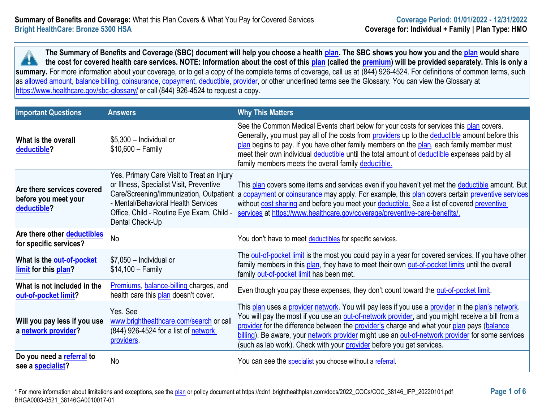**The Summary of Benefits and Coverage (SBC) document will help you choose a health [plan.](https://www.healthcare.gov/sbc-glossary/#plan) The SBC shows you how you and the [plan](https://www.healthcare.gov/sbc-glossary/#plan) would share the cost for covered health care services. NOTE: Information about the cost of this [plan](https://www.healthcare.gov/sbc-glossary/#plan) (called the [premium\)](https://www.healthcare.gov/sbc-glossary/#premium) will be provided separately. This is only a A** summary. For more information about your coverage, or to get a copy of the complete terms of coverage, call us at (844) 926-4524. For definitions of common terms, such as [allowed amount,](https://www.healthcare.gov/sbc-glossary/#allowed-amount) [balance billing,](https://www.healthcare.gov/sbc-glossary/#balance-billing) [coinsurance,](https://www.healthcare.gov/sbc-glossary/#coinsurance) [copayment,](https://www.healthcare.gov/sbc-glossary/#copayment) [deductible,](https://www.healthcare.gov/sbc-glossary/#deductible) [provider,](https://www.healthcare.gov/sbc-glossary/#provider) or other underlined terms see the Glossary. You can view the Glossary at <https://www.healthcare.gov/sbc-glossary/> or call (844) 926-4524 to request a copy.

| <b>Important Questions</b>                                        | <b>Answers</b>                                                                                                                                                                                                                           | <b>Why This Matters</b>                                                                                                                                                                                                                                                                                                                                                                                                                                                                  |
|-------------------------------------------------------------------|------------------------------------------------------------------------------------------------------------------------------------------------------------------------------------------------------------------------------------------|------------------------------------------------------------------------------------------------------------------------------------------------------------------------------------------------------------------------------------------------------------------------------------------------------------------------------------------------------------------------------------------------------------------------------------------------------------------------------------------|
| What is the overall<br>deductible?                                | $$5,300$ - Individual or<br>$$10,600 - Family$                                                                                                                                                                                           | See the Common Medical Events chart below for your costs for services this plan covers.<br>Generally, you must pay all of the costs from providers up to the deductible amount before this<br>plan begins to pay. If you have other family members on the plan, each family member must<br>meet their own individual deductible until the total amount of deductible expenses paid by all<br>family members meets the overall family deductible.                                         |
| Are there services covered<br>before you meet your<br>deductible? | Yes. Primary Care Visit to Treat an Injury<br>or Illness, Specialist Visit, Preventive<br>Care/Screening/Immunization, Outpatient<br>- Mental/Behavioral Health Services<br>Office, Child - Routine Eye Exam, Child -<br>Dental Check-Up | This plan covers some items and services even if you haven't yet met the deductible amount. But<br>a copayment or coinsurance may apply. For example, this plan covers certain preventive services<br>without cost sharing and before you meet your deductible. See a list of covered preventive<br>services at https://www.healthcare.gov/coverage/preventive-care-benefits/.                                                                                                           |
| Are there other <b>deductibles</b><br>for specific services?      | No                                                                                                                                                                                                                                       | You don't have to meet deductibles for specific services.                                                                                                                                                                                                                                                                                                                                                                                                                                |
| What is the out-of-pocket<br>limit for this plan?                 | $$7,050$ - Individual or<br>$$14,100 - Family$                                                                                                                                                                                           | The out-of-pocket limit is the most you could pay in a year for covered services. If you have other<br>family members in this plan, they have to meet their own out-of-pocket limits until the overall<br>family out-of-pocket limit has been met.                                                                                                                                                                                                                                       |
| What is not included in the<br>out-of-pocket limit?               | Premiums, balance-billing charges, and<br>health care this plan doesn't cover.                                                                                                                                                           | Even though you pay these expenses, they don't count toward the out-of-pocket limit.                                                                                                                                                                                                                                                                                                                                                                                                     |
| Will you pay less if you use<br>a network provider?               | Yes. See<br>www.brighthealthcare.com/search or call<br>(844) 926-4524 for a list of network<br>providers.                                                                                                                                | This plan uses a provider network. You will pay less if you use a provider in the plan's network.<br>You will pay the most if you use an <b>out-of-network provider</b> , and you might receive a bill from a<br>provider for the difference between the provider's charge and what your plan pays (balance<br>billing). Be aware, your network provider might use an out-of-network provider for some services<br>(such as lab work). Check with your provider before you get services. |
| Do you need a referral to<br>see a <b>specialist?</b>             | No                                                                                                                                                                                                                                       | You can see the specialist you choose without a referral.                                                                                                                                                                                                                                                                                                                                                                                                                                |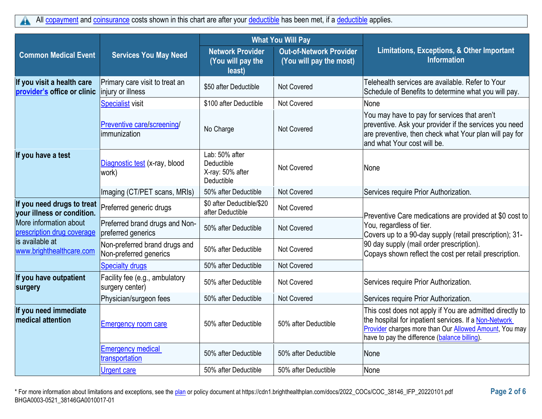|                                                           |                                                         | <b>What You Will Pay</b>                                       |                                                           |                                                                                                                                                                                                                              |
|-----------------------------------------------------------|---------------------------------------------------------|----------------------------------------------------------------|-----------------------------------------------------------|------------------------------------------------------------------------------------------------------------------------------------------------------------------------------------------------------------------------------|
| <b>Common Medical Event</b>                               | <b>Services You May Need</b>                            | <b>Network Provider</b><br>(You will pay the<br>least)         | <b>Out-of-Network Provider</b><br>(You will pay the most) | Limitations, Exceptions, & Other Important<br><b>Information</b>                                                                                                                                                             |
| If you visit a health care<br>provider's office or clinic | Primary care visit to treat an<br>injury or illness     | \$50 after Deductible                                          | <b>Not Covered</b>                                        | Telehealth services are available. Refer to Your<br>Schedule of Benefits to determine what you will pay.                                                                                                                     |
|                                                           | <b>Specialist visit</b>                                 | \$100 after Deductible                                         | <b>Not Covered</b>                                        | None                                                                                                                                                                                                                         |
|                                                           | Preventive care/screening/<br>limmunization             | No Charge                                                      | Not Covered                                               | You may have to pay for services that aren't<br>preventive. Ask your provider if the services you need<br>are preventive, then check what Your plan will pay for<br>land what Your cost will be.                             |
| If you have a test                                        | Diagnostic test (x-ray, blood<br>work)                  | Lab: 50% after<br>Deductible<br>X-ray: 50% after<br>Deductible | <b>Not Covered</b>                                        | None                                                                                                                                                                                                                         |
|                                                           | Imaging (CT/PET scans, MRIs)                            | 50% after Deductible                                           | <b>Not Covered</b>                                        | Services require Prior Authorization.                                                                                                                                                                                        |
| If you need drugs to treat<br>your illness or condition.  | Preferred generic drugs                                 | \$0 after Deductible/\$20<br>after Deductible                  | Not Covered                                               | Preventive Care medications are provided at \$0 cost to                                                                                                                                                                      |
| More information about<br>prescription drug coverage      | Preferred brand drugs and Non-<br>preferred generics    | 50% after Deductible                                           | <b>Not Covered</b>                                        | You, regardless of tier.<br>Covers up to a 90-day supply (retail prescription); 31-                                                                                                                                          |
| lis available at<br>www.brighthealthcare.com              | Non-preferred brand drugs and<br>Non-preferred generics | 50% after Deductible                                           | <b>Not Covered</b>                                        | 90 day supply (mail order prescription).<br>Copays shown reflect the cost per retail prescription.                                                                                                                           |
|                                                           | <b>Specialty drugs</b>                                  | 50% after Deductible                                           | <b>Not Covered</b>                                        |                                                                                                                                                                                                                              |
| If you have outpatient<br>surgery                         | Facility fee (e.g., ambulatory<br>surgery center)       | 50% after Deductible                                           | Not Covered                                               | Services require Prior Authorization.                                                                                                                                                                                        |
|                                                           | Physician/surgeon fees                                  | 50% after Deductible                                           | Not Covered                                               | Services require Prior Authorization.                                                                                                                                                                                        |
| If you need immediate<br><b>medical attention</b>         | <b>Emergency room care</b>                              | 50% after Deductible                                           | 50% after Deductible                                      | This cost does not apply if You are admitted directly to<br>the hospital for inpatient services. If a Non-Network<br>Provider charges more than Our Allowed Amount, You may<br>have to pay the difference (balance billing). |
|                                                           | <b>Emergency medical</b><br>transportation              | 50% after Deductible                                           | 50% after Deductible                                      | None                                                                                                                                                                                                                         |
|                                                           | <b>Urgent care</b>                                      | 50% after Deductible                                           | 50% after Deductible                                      | None                                                                                                                                                                                                                         |

\* For more information about limitations and exceptions, see the [plan](https://www.healthcare.gov/sbc-glossary/#plan) or policy document at https://cdn1.brighthealthplan.com/docs/2022\_COCs/COC\_38146\_IFP\_20220101.pdf **Page 2 of 6** BHGA0003-0521\_38146GA0010017-01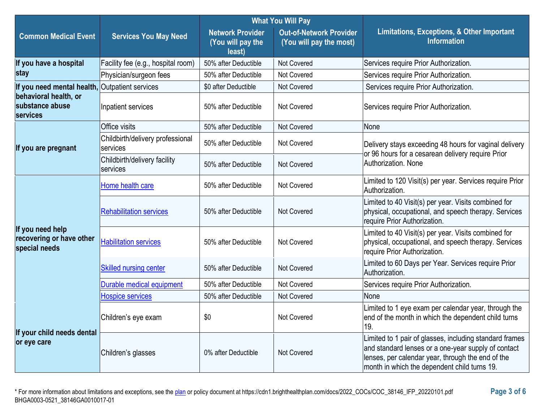|                                                               |                                              | <b>What You Will Pay</b>                               |                                                           |                                                                                                                                                                                                                     |
|---------------------------------------------------------------|----------------------------------------------|--------------------------------------------------------|-----------------------------------------------------------|---------------------------------------------------------------------------------------------------------------------------------------------------------------------------------------------------------------------|
| <b>Common Medical Event</b>                                   | <b>Services You May Need</b>                 | <b>Network Provider</b><br>(You will pay the<br>least) | <b>Out-of-Network Provider</b><br>(You will pay the most) | Limitations, Exceptions, & Other Important<br><b>Information</b>                                                                                                                                                    |
| If you have a hospital                                        | Facility fee (e.g., hospital room)           | 50% after Deductible                                   | Not Covered                                               | Services require Prior Authorization.                                                                                                                                                                               |
| stay                                                          | Physician/surgeon fees                       | 50% after Deductible                                   | Not Covered                                               | Services require Prior Authorization.                                                                                                                                                                               |
| If you need mental health,                                    | <b>Outpatient services</b>                   | \$0 after Deductible                                   | Not Covered                                               | Services require Prior Authorization.                                                                                                                                                                               |
| behavioral health, or<br>substance abuse<br><b>services</b>   | Inpatient services                           | 50% after Deductible                                   | Not Covered                                               | Services require Prior Authorization.                                                                                                                                                                               |
|                                                               | Office visits                                | 50% after Deductible                                   | Not Covered                                               | None                                                                                                                                                                                                                |
| If you are pregnant                                           | Childbirth/delivery professional<br>services | 50% after Deductible                                   | Not Covered                                               | Delivery stays exceeding 48 hours for vaginal delivery<br>or 96 hours for a cesarean delivery require Prior                                                                                                         |
|                                                               | Childbirth/delivery facility<br>services     | 50% after Deductible                                   | Not Covered                                               | Authorization. None                                                                                                                                                                                                 |
|                                                               | Home health care                             | 50% after Deductible                                   | Not Covered                                               | Limited to 120 Visit(s) per year. Services require Prior<br>Authorization.                                                                                                                                          |
| If you need help<br>recovering or have other<br>special needs | <b>Rehabilitation services</b>               | 50% after Deductible                                   | Not Covered                                               | Limited to 40 Visit(s) per year. Visits combined for<br>physical, occupational, and speech therapy. Services<br>require Prior Authorization.                                                                        |
|                                                               | <b>Habilitation services</b>                 | 50% after Deductible                                   | Not Covered                                               | Limited to 40 Visit(s) per year. Visits combined for<br>physical, occupational, and speech therapy. Services<br>require Prior Authorization.                                                                        |
|                                                               | <b>Skilled nursing center</b>                | 50% after Deductible                                   | Not Covered                                               | Limited to 60 Days per Year. Services require Prior<br>Authorization.                                                                                                                                               |
|                                                               | Durable medical equipment                    | 50% after Deductible                                   | <b>Not Covered</b>                                        | Services require Prior Authorization.                                                                                                                                                                               |
|                                                               | <b>Hospice services</b>                      | 50% after Deductible                                   | Not Covered                                               | None                                                                                                                                                                                                                |
| If your child needs dental<br>or eye care                     | Children's eye exam                          | \$0                                                    | Not Covered                                               | Limited to 1 eye exam per calendar year, through the<br>end of the month in which the dependent child turns<br>19.                                                                                                  |
|                                                               | Children's glasses                           | 0% after Deductible                                    | Not Covered                                               | Limited to 1 pair of glasses, including standard frames<br>and standard lenses or a one-year supply of contact<br>lenses, per calendar year, through the end of the<br>month in which the dependent child turns 19. |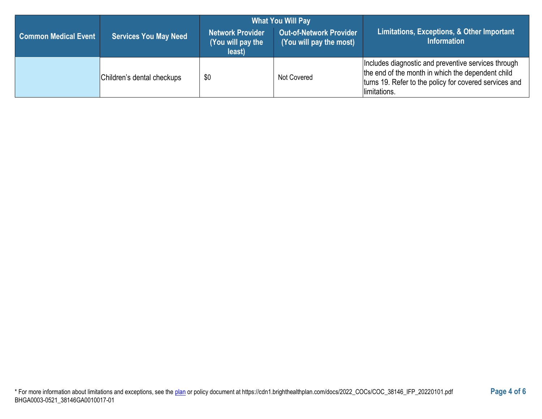|                             |                              | <b>What You Will Pay</b>                        |                                                           |                                                                                                                                                                                    |  |
|-----------------------------|------------------------------|-------------------------------------------------|-----------------------------------------------------------|------------------------------------------------------------------------------------------------------------------------------------------------------------------------------------|--|
| <b>Common Medical Event</b> | <b>Services You May Need</b> | Network Provider<br>(You will pay the<br>least) | <b>Out-of-Network Provider</b><br>(You will pay the most) | Limitations, Exceptions, & Other Important<br><b>Information</b>                                                                                                                   |  |
|                             | Children's dental checkups   | \$0                                             | Not Covered                                               | Includes diagnostic and preventive services through<br>the end of the month in which the dependent child<br>turns 19. Refer to the policy for covered services and<br>limitations. |  |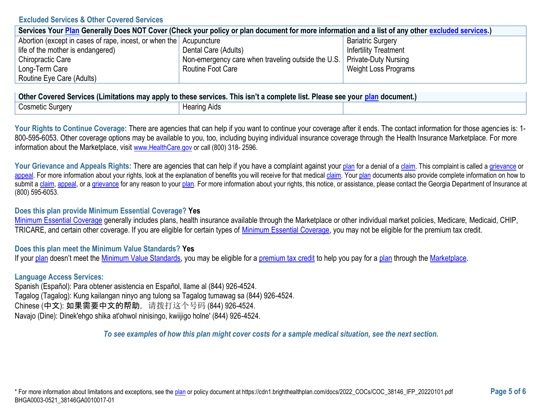### **Excluded Services & Other Covered Services**

| Services Your Plan Generally Does NOT Cover (Check your policy or plan document for more information and a list of any other excluded services.) |                                                                           |                              |  |
|--------------------------------------------------------------------------------------------------------------------------------------------------|---------------------------------------------------------------------------|------------------------------|--|
| Abortion (except in cases of rape, incest, or when the Acupuncture                                                                               |                                                                           | <b>Bariatric Surgery</b>     |  |
| life of the mother is endangered)                                                                                                                | Dental Care (Adults)                                                      | <b>Infertility Treatment</b> |  |
| Chiropractic Care                                                                                                                                | Non-emergency care when traveling outside the U.S.   Private-Duty Nursing |                              |  |
| Long-Term Care                                                                                                                                   | Routine Foot Care                                                         | Weight Loss Programs         |  |
| Routine Eye Care (Adults)                                                                                                                        |                                                                           |                              |  |

| <b>Other</b><br>r Covered Services (Limitations may apply to these services. This isn't a complete list. Please see your p<br>n document. |              |  |  |
|-------------------------------------------------------------------------------------------------------------------------------------------|--------------|--|--|
| Cosmetic Surgery                                                                                                                          | Hearing Aids |  |  |

Your Rights to Continue Coverage: There are agencies that can help if you want to continue your coverage after it ends. The contact information for those agencies is: 1-800-595-6053. Other coverage options may be available to you, too, including buying individual insurance coverage through the Health Insurance Marketplace. For more information about the Marketplace, visit [www.HealthCare.gov](https://www.healthcare.gov/) or call (800) 318-2596.

Your Grievance and Appeals Rights: There are agencies that can help if you have a complaint against your [plan](https://www.healthcare.gov/sbc-glossary/#plan) for a denial of [a claim.](https://www.healthcare.gov/sbc-glossary/#claim) This complaint is called a [grievance](https://www.healthcare.gov/sbc-glossary/#grievance) or [appeal.](https://www.healthcare.gov/sbc-glossary/#appeal) For more information about your rights, look at the explanation of benefits you will receive for that medical [claim.](https://www.healthcare.gov/sbc-glossary/#claim) You[r plan](https://www.healthcare.gov/sbc-glossary/#plan) documents also provide complete information on how to submit a [claim,](https://www.healthcare.gov/sbc-glossary/#claim) [appeal,](https://www.healthcare.gov/sbc-glossary/#appeal) or [a grievance](https://www.healthcare.gov/sbc-glossary/#grievance) for any reason to your [plan.](https://www.healthcare.gov/sbc-glossary/#plan) For more information about your rights, this notice, or assistance, please contact the Georgia Department of Insurance at (800) 595-6053.

### **Does this plan provide Minimum Essential Coverage? Yes**

[Minimum Essential Coverage](https://www.healthcare.gov/sbc-glossary/#minimum-essential-coverage) generally includes plans, health insurance available through the Marketplace or other individual market policies, Medicare, Medicaid, CHIP, TRICARE, and certain other coverage. If you are eligible for certain types of [Minimum Essential Coverage,](https://www.healthcare.gov/sbc-glossary/#minimum-essential-coverage) you may not be eligible for the premium tax credit.

## **Does this plan meet the Minimum Value Standards? Yes**

If you[r plan](https://www.healthcare.gov/sbc-glossary/#plan) doesn't meet the [Minimum Value Standards,](https://www.healthcare.gov/sbc-glossary/#minimum-value-standard) you may be eligible for a [premium tax credit](https://www.healthcare.gov/sbc-glossary/#premium-tax-credits) to help you pay for a [plan](https://www.healthcare.gov/sbc-glossary/#plan) through the [Marketplace.](https://www.healthcare.gov/sbc-glossary/#marketplace)

## **Language Access Services:**

Spanish (Español): Para obtener asistencia en Español, llame al (844) 926-4524. Tagalog (Tagalog): Kung kailangan ninyo ang tulong sa Tagalog tumawag sa (844) 926-4524. Chinese (中文): 如果需要中文的帮助,请拨打这个号码 (844) 926-4524. Navajo (Dine): Dinek'ehgo shika at'ohwol ninisingo, kwiijigo holne' (844) 926-4524.

*To see examples of how this plan might cover costs for a sample medical situation, see the next section.*